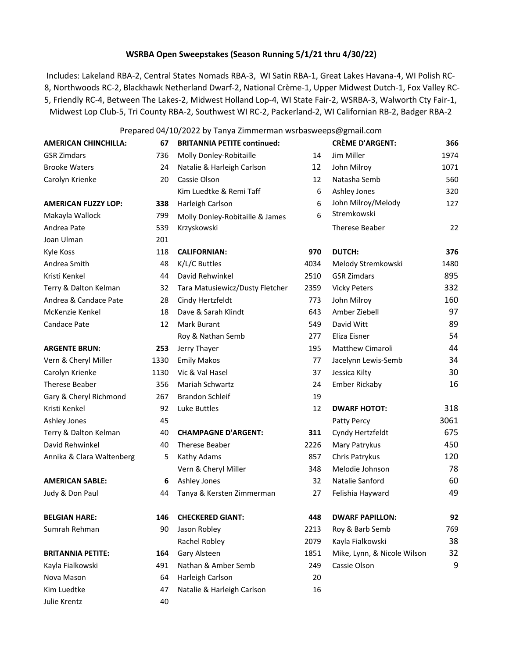# **WSRBA Open Sweepstakes (Season Running 5/1/21 thru 4/30/22)**

Includes: Lakeland RBA-2, Central States Nomads RBA-3, WI Satin RBA-1, Great Lakes Havana-4, WI Polish RC-8, Northwoods RC-2, Blackhawk Netherland Dwarf-2, National Crème-1, Upper Midwest Dutch-1, Fox Valley RC-5, Friendly RC-4, Between The Lakes-2, Midwest Holland Lop-4, WI State Fair-2, WSRBA-3, Walworth Cty Fair-1, Midwest Lop Club-5, Tri County RBA-2, Southwest WI RC-2, Packerland-2, WI Californian RB-2, Badger RBA-2

## Prepared 04/10/2022 by Tanya Zimmerman wsrbasweeps@gmail.com

| <b>AMERICAN CHINCHILLA:</b> | 67   | <b>BRITANNIA PETITE continued:</b> |      | <b>CRÈME D'ARGENT:</b>      | 366  |
|-----------------------------|------|------------------------------------|------|-----------------------------|------|
| <b>GSR Zimdars</b>          | 736  | Molly Donley-Robitaille            | 14   | Jim Miller                  | 1974 |
| <b>Brooke Waters</b>        | 24   | Natalie & Harleigh Carlson         | 12   | John Milroy                 | 1071 |
| Carolyn Krienke             | 20   | Cassie Olson                       | 12   | Natasha Semb                | 560  |
|                             |      | Kim Luedtke & Remi Taff            | 6    | Ashley Jones                | 320  |
| <b>AMERICAN FUZZY LOP:</b>  | 338  | Harleigh Carlson                   | 6    | John Milroy/Melody          | 127  |
| Makayla Wallock             | 799  | Molly Donley-Robitaille & James    | 6    | Stremkowski                 |      |
| Andrea Pate                 | 539  | Krzyskowski                        |      | Therese Beaber              | 22   |
| Joan Ulman                  | 201  |                                    |      |                             |      |
| Kyle Koss                   | 118  | <b>CALIFORNIAN:</b>                | 970  | <b>DUTCH:</b>               | 376  |
| Andrea Smith                | 48   | K/L/C Buttles                      | 4034 | Melody Stremkowski          | 1480 |
| Kristi Kenkel               | 44   | David Rehwinkel                    | 2510 | <b>GSR Zimdars</b>          | 895  |
| Terry & Dalton Kelman       | 32   | Tara Matusiewicz/Dusty Fletcher    | 2359 | <b>Vicky Peters</b>         | 332  |
| Andrea & Candace Pate       | 28   | Cindy Hertzfeldt                   | 773  | John Milroy                 | 160  |
| McKenzie Kenkel             | 18   | Dave & Sarah Klindt                | 643  | Amber Ziebell               | 97   |
| Candace Pate                | 12   | Mark Burant                        | 549  | David Witt                  | 89   |
|                             |      | Roy & Nathan Semb                  | 277  | Eliza Eisner                | 54   |
| <b>ARGENTE BRUN:</b>        | 253  | Jerry Thayer                       | 195  | Matthew Cimaroli            | 44   |
| Vern & Cheryl Miller        | 1330 | <b>Emily Makos</b>                 | 77   | Jacelynn Lewis-Semb         | 34   |
| Carolyn Krienke             | 1130 | Vic & Val Hasel                    | 37   | Jessica Kilty               | 30   |
| <b>Therese Beaber</b>       | 356  | Mariah Schwartz                    | 24   | <b>Ember Rickaby</b>        | 16   |
| Gary & Cheryl Richmond      | 267  | <b>Brandon Schleif</b>             | 19   |                             |      |
| Kristi Kenkel               | 92   | Luke Buttles                       | 12   | <b>DWARF HOTOT:</b>         | 318  |
| Ashley Jones                | 45   |                                    |      | Patty Percy                 | 3061 |
| Terry & Dalton Kelman       | 40   | <b>CHAMPAGNE D'ARGENT:</b>         | 311  | Cyndy Hertzfeldt            | 675  |
| David Rehwinkel             | 40   | <b>Therese Beaber</b>              | 2226 | Mary Patrykus               | 450  |
| Annika & Clara Waltenberg   | 5    | Kathy Adams                        | 857  | Chris Patrykus              | 120  |
|                             |      | Vern & Cheryl Miller               | 348  | Melodie Johnson             | 78   |
| <b>AMERICAN SABLE:</b>      | 6    | Ashley Jones                       | 32   | Natalie Sanford             | 60   |
| Judy & Don Paul             | 44   | Tanya & Kersten Zimmerman          | 27   | Felishia Hayward            | 49   |
| <b>BELGIAN HARE:</b>        | 146  | <b>CHECKERED GIANT:</b>            | 448  | <b>DWARF PAPILLON:</b>      | 92   |
| Sumrah Rehman               | 90   | Jason Robley                       | 2213 | Roy & Barb Semb             | 769  |
|                             |      | Rachel Robley                      | 2079 | Kayla Fialkowski            | 38   |
| <b>BRITANNIA PETITE:</b>    | 164  | Gary Alsteen                       | 1851 | Mike, Lynn, & Nicole Wilson | 32   |
| Kayla Fialkowski            | 491  | Nathan & Amber Semb                | 249  | Cassie Olson                | 9    |
| Nova Mason                  | 64   | Harleigh Carlson                   | 20   |                             |      |
| Kim Luedtke                 | 47   | Natalie & Harleigh Carlson         | 16   |                             |      |
| Julie Krentz                |      |                                    |      |                             |      |
|                             | 40   |                                    |      |                             |      |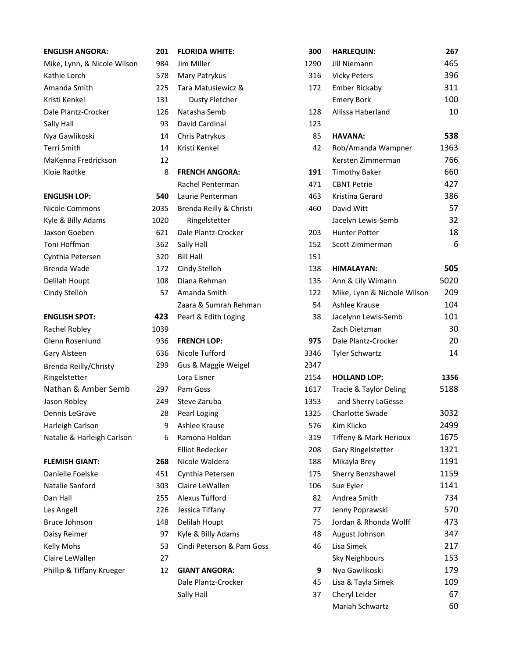# Nya Gawlikoski 14 Chris Patrykus 85 **HAVANA: 538** MaKenna Fredrickson 12 Kyle & Billy Adams 102 **ENGLISH SPOT:** 42 Rachel Robley 203 Brenda Reilly/Christy Ringelstetter

| <b>ENGLISH ANGORA:</b>      | 201  | <b>FLORIDA WHITE:</b>     | 300  |
|-----------------------------|------|---------------------------|------|
| Mike, Lynn, & Nicole Wilson | 984  | Jim Miller                | 1290 |
| Kathie Lorch                | 578  | Mary Patrykus             | 316  |
| Amanda Smith                | 225  | Tara Matusiewicz &        | 172  |
| Kristi Kenkel               | 131  | <b>Dusty Fletcher</b>     |      |
| Dale Plantz-Crocker         | 126  | Natasha Semb              | 128  |
| Sally Hall                  | 93   | David Cardinal            | 123  |
| Nya Gawlikoski              | 14   | Chris Patrykus            | 85   |
| Terri Smith                 | 14   | Kristi Kenkel             | 42   |
| MaKenna Fredrickson         | 12   |                           |      |
| Kloie Radtke                | 8    | <b>FRENCH ANGORA:</b>     | 191  |
|                             |      | Rachel Penterman          | 471  |
| <b>ENGLISH LOP:</b>         | 540  | Laurie Penterman          | 463  |
| <b>Nicole Commons</b>       | 2035 | Brenda Reilly & Christi   | 460  |
| Kyle & Billy Adams          | 1020 | Ringelstetter             |      |
| Jaxson Goeben               | 621  | Dale Plantz-Crocker       | 203  |
| Toni Hoffman                | 362  | Sally Hall                | 152  |
| Cynthia Petersen            | 320  | <b>Bill Hall</b>          | 151  |
| Brenda Wade                 | 172  | Cindy Stelloh             | 138  |
| Delilah Houpt               | 108  | Diana Rehman              | 135  |
| Cindy Stelloh               | 57   | Amanda Smith              | 122  |
|                             |      | Zaara & Sumrah Rehman     | 54   |
| <b>ENGLISH SPOT:</b>        | 423  | Pearl & Edith Loging      | 38   |
| Rachel Robley               | 1039 |                           |      |
| Glenn Rosenlund             | 936  | <b>FRENCH LOP:</b>        | 975  |
| Gary Alsteen                | 636  | Nicole Tufford            | 3346 |
| Brenda Reilly/Christy       | 299  | Gus & Maggie Weigel       | 2347 |
| Ringelstetter               |      | Lora Eisner               | 2154 |
| Nathan & Amber Semb         | 297  | Pam Goss                  | 1617 |
| Jason Robley                | 249  | Steve Zaruba              | 1353 |
| Dennis LeGrave              | 28   | Pearl Loging              | 1325 |
| Harleigh Carlson            | 9    | Ashlee Krause             | 576  |
| Natalie & Harleigh Carlson  | 6    | Ramona Holdan             | 319  |
|                             |      | <b>Elliot Redecker</b>    | 208  |
| <b>FLEMISH GIANT:</b>       | 268  | Nicole Waldera            | 188  |
| Danielle Foelske            | 451  | Cynthia Petersen          | 175  |
| Natalie Sanford             | 303  | Claire LeWallen           | 106  |
| Dan Hall                    | 255  | Alexus Tufford            | 82   |
| Les Angell                  | 226  | Jessica Tiffany           | 77   |
| Bruce Johnson               | 148  | Delilah Houpt             | 75   |
| Daisy Reimer                | 97   | Kyle & Billy Adams        | 48   |
| <b>Kelly Mohs</b>           | 53   | Cindi Peterson & Pam Goss | 46   |
| Claire LeWallen             | 27   |                           |      |
| Phillip & Tiffany Krueger   | 12   | <b>GIANT ANGORA:</b>      | 9    |
|                             |      | Dale Plantz-Crocker       | 45   |
|                             |      | Sally Hall                | 37   |

| <b>ENGLISH ANGORA:</b>      | 201  | <b>FLORIDA WHITE:</b>     | 300  | <b>HARLEQUIN:</b>           | 267  |
|-----------------------------|------|---------------------------|------|-----------------------------|------|
| Mike, Lynn, & Nicole Wilson | 984  | Jim Miller                | 1290 | Jill Niemann                | 465  |
| Kathie Lorch                | 578  | Mary Patrykus             | 316  | <b>Vicky Peters</b>         | 396  |
| Amanda Smith                | 225  | Tara Matusiewicz &        | 172  | <b>Ember Rickaby</b>        | 311  |
| Kristi Kenkel               | 131  | <b>Dusty Fletcher</b>     |      | <b>Emery Bork</b>           | 100  |
| Dale Plantz-Crocker         | 126  | Natasha Semb              | 128  | Allissa Haberland           | 10   |
| Sally Hall                  | 93   | David Cardinal            | 123  |                             |      |
| Nya Gawlikoski              | 14   | Chris Patrykus            | 85   | <b>HAVANA:</b>              | 538  |
| Terri Smith                 | 14   | Kristi Kenkel             | 42   | Rob/Amanda Wampner          | 1363 |
| MaKenna Fredrickson         | 12   |                           |      | Kersten Zimmerman           | 766  |
| Kloie Radtke                | 8    | <b>FRENCH ANGORA:</b>     | 191  | <b>Timothy Baker</b>        | 660  |
|                             |      | Rachel Penterman          | 471  | <b>CBNT Petrie</b>          | 427  |
| <b>ENGLISH LOP:</b>         | 540  | Laurie Penterman          | 463  | Kristina Gerard             | 386  |
| Nicole Commons              | 2035 | Brenda Reilly & Christi   | 460  | David Witt                  | 57   |
| Kyle & Billy Adams          | 1020 | Ringelstetter             |      | Jacelyn Lewis-Semb          | 32   |
| Jaxson Goeben               | 621  | Dale Plantz-Crocker       | 203  | Hunter Potter               | 18   |
| Toni Hoffman                | 362  | Sally Hall                | 152  | Scott Zimmerman             | 6    |
| Cynthia Petersen            | 320  | <b>Bill Hall</b>          | 151  |                             |      |
| Brenda Wade                 | 172  | Cindy Stelloh             | 138  | <b>HIMALAYAN:</b>           | 505  |
| Delilah Houpt               | 108  | Diana Rehman              | 135  | Ann & Lily Wimann           | 5020 |
| Cindy Stelloh               | 57   | Amanda Smith              | 122  | Mike, Lynn & Nichole Wilson | 209  |
|                             |      | Zaara & Sumrah Rehman     | 54   | Ashlee Krause               | 104  |
| <b>ENGLISH SPOT:</b>        | 423  | Pearl & Edith Loging      | 38   | Jacelynn Lewis-Semb         | 101  |
| Rachel Robley               | 1039 |                           |      | Zach Dietzman               | 30   |
| Glenn Rosenlund             | 936  | <b>FRENCH LOP:</b>        | 975  | Dale Plantz-Crocker         | 20   |
| Gary Alsteen                | 636  | Nicole Tufford            | 3346 | <b>Tyler Schwartz</b>       | 14   |
| Brenda Reilly/Christy       | 299  | Gus & Maggie Weigel       | 2347 |                             |      |
| Ringelstetter               |      | Lora Eisner               | 2154 | <b>HOLLAND LOP:</b>         | 1356 |
| Nathan & Amber Semb         | 297  | Pam Goss                  | 1617 | Tracie & Taylor Deling      | 5188 |
| Jason Robley                | 249  | Steve Zaruba              | 1353 | and Sherry LaGesse          |      |
| Dennis LeGrave              | 28   | Pearl Loging              | 1325 | <b>Charlotte Swade</b>      | 3032 |
| Harleigh Carlson            | 9    | Ashlee Krause             | 576  | Kim Klicko                  | 2499 |
| Natalie & Harleigh Carlson  | 6    | Ramona Holdan             | 319  | Tiffeny & Mark Herioux      | 1675 |
|                             |      | <b>Elliot Redecker</b>    | 208  | Gary Ringelstetter          | 1321 |
| <b>FLEMISH GIANT:</b>       | 268  | Nicole Waldera            | 188  | Mikayla Brey                | 1191 |
| Danielle Foelske            | 451  | Cynthia Petersen          | 175  | Sherry Benzshawel           | 1159 |
| Natalie Sanford             | 303  | Claire LeWallen           | 106  | Sue Eyler                   | 1141 |
| Dan Hall                    | 255  | Alexus Tufford            | 82   | Andrea Smith                | 734  |
| Les Angell                  | 226  | Jessica Tiffany           | 77   | Jenny Poprawski             | 570  |
| Bruce Johnson               | 148  | Delilah Houpt             | 75   | Jordan & Rhonda Wolff       | 473  |
| Daisy Reimer                | 97   | Kyle & Billy Adams        | 48   | August Johnson              | 347  |
| Kelly Mohs                  | 53   | Cindi Peterson & Pam Goss | 46   | Lisa Simek                  | 217  |
| Claire LeWallen             | 27   |                           |      | Sky Neighbours              | 153  |
| Phillip & Tiffany Krueger   | 12   | <b>GIANT ANGORA:</b>      | 9    | Nya Gawlikoski              | 179  |
|                             |      | Dale Plantz-Crocker       | 45   | Lisa & Tayla Simek          | 109  |
|                             |      | Sally Hall                | 37   | Cheryl Leider               | 67   |
|                             |      |                           |      | Mariah Schwartz             | 60   |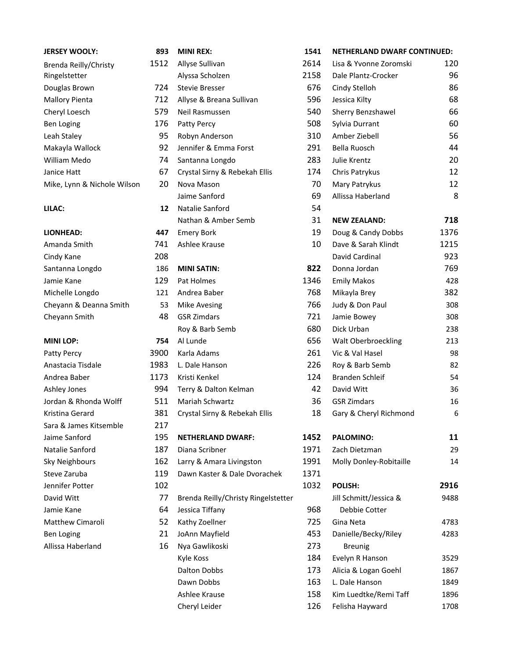| <b>JERSEY WOOLY:</b>        | 893  |
|-----------------------------|------|
| Brenda Reilly/Christy       | 1512 |
| Ringelstetter               |      |
| Douglas Brown               | 724  |
| <b>Mallory Pienta</b>       | 712  |
| Cheryl Loesch               | 579  |
| <b>Ben Loging</b>           | 176  |
| Leah Staley                 | 95   |
| Makayla Wallock             | 92   |
| William Medo                | 74   |
| Janice Hatt                 | 67   |
| Mike, Lynn & Nichole Wilson | 20   |
| LILAC:                      | 12   |
| <b>LIONHEAD:</b>            | 447  |
| Amanda Smith                | 741  |
| Cindy Kane                  | 208  |
| Santanna Longdo             | 186  |
| Jamie Kane                  | 129  |
| Michelle Longdo             | 121  |
| Cheyann & Deanna Smith      | 53   |
| Cheyann Smith               | 48   |
| <b>MINI LOP:</b>            | 754  |
| Patty Percy                 | 3900 |
| Anastacia Tisdale           | 1983 |
| Andrea Baber                | 1173 |
| Ashley Jones                | 994  |
| Jordan & Rhonda Wolff       | 511  |
| Kristina Gerard             | 381  |
| Sara & James Kitsemble      | 217  |
| Jaime Sanford               | 195  |
| Natalie Sanford             | 187  |
| <b>Sky Neighbours</b>       | 162  |
| Steve Zaruba                | 119  |

| <b>JERSEY WOOLY:</b>        | 893  | <b>MINI REX:</b>                    | 1541 | <b>NETHERLAND DWARF CONTINUED:</b> |      |
|-----------------------------|------|-------------------------------------|------|------------------------------------|------|
| Brenda Reilly/Christy       | 1512 | Allyse Sullivan                     | 2614 | Lisa & Yvonne Zoromski             | 120  |
| Ringelstetter               |      | Alyssa Scholzen                     | 2158 | Dale Plantz-Crocker                | 96   |
| Douglas Brown               | 724  | <b>Stevie Bresser</b>               | 676  | Cindy Stelloh                      | 86   |
| <b>Mallory Pienta</b>       | 712  | Allyse & Breana Sullivan            | 596  | Jessica Kilty                      | 68   |
| Cheryl Loesch               | 579  | Neil Rasmussen                      | 540  | Sherry Benzshawel                  | 66   |
| Ben Loging                  | 176  | Patty Percy                         | 508  | Sylvia Durrant                     | 60   |
| Leah Staley                 | 95   | Robyn Anderson                      | 310  | Amber Ziebell                      | 56   |
| Makayla Wallock             | 92   | Jennifer & Emma Forst               | 291  | Bella Ruosch                       | 44   |
| William Medo                | 74   | Santanna Longdo                     | 283  | Julie Krentz                       | 20   |
| Janice Hatt                 | 67   | Crystal Sirny & Rebekah Ellis       | 174  | Chris Patrykus                     | 12   |
| Mike, Lynn & Nichole Wilson | 20   | Nova Mason                          | 70   | Mary Patrykus                      | 12   |
|                             |      | Jaime Sanford                       | 69   | Allissa Haberland                  | 8    |
| LILAC:                      | 12   | Natalie Sanford                     | 54   |                                    |      |
|                             |      | Nathan & Amber Semb                 | 31   | <b>NEW ZEALAND:</b>                | 718  |
| <b>LIONHEAD:</b>            | 447  | <b>Emery Bork</b>                   | 19   | Doug & Candy Dobbs                 | 1376 |
| Amanda Smith                | 741  | Ashlee Krause                       | 10   | Dave & Sarah Klindt                | 1215 |
| Cindy Kane                  | 208  |                                     |      | David Cardinal                     | 923  |
| Santanna Longdo             | 186  | <b>MINI SATIN:</b>                  | 822  | Donna Jordan                       | 769  |
| Jamie Kane                  | 129  | Pat Holmes                          | 1346 | <b>Emily Makos</b>                 | 428  |
| Michelle Longdo             | 121  | Andrea Baber                        | 768  | Mikayla Brey                       | 382  |
| Cheyann & Deanna Smith      | 53   | <b>Mike Avesing</b>                 | 766  | Judy & Don Paul                    | 308  |
| Cheyann Smith               | 48   | <b>GSR Zimdars</b>                  | 721  | Jamie Bowey                        | 308  |
|                             |      | Roy & Barb Semb                     | 680  | Dick Urban                         | 238  |
| <b>MINI LOP:</b>            | 754  | Al Lunde                            | 656  | Walt Oberbroeckling                | 213  |
| Patty Percy                 | 3900 | Karla Adams                         | 261  | Vic & Val Hasel                    | 98   |
| Anastacia Tisdale           | 1983 | L. Dale Hanson                      | 226  | Roy & Barb Semb                    | 82   |
| Andrea Baber                | 1173 | Kristi Kenkel                       | 124  | <b>Branden Schleif</b>             | 54   |
| Ashley Jones                | 994  | Terry & Dalton Kelman               | 42   | David Witt                         | 36   |
| Jordan & Rhonda Wolff       | 511  | Mariah Schwartz                     | 36   | <b>GSR Zimdars</b>                 | 16   |
| Kristina Gerard             | 381  | Crystal Sirny & Rebekah Ellis       | 18   | Gary & Cheryl Richmond             | 6    |
| Sara & James Kitsemble      | 217  |                                     |      |                                    |      |
| Jaime Sanford               | 195  | <b>NETHERLAND DWARF:</b>            | 1452 | PALOMINO:                          | 11   |
| Natalie Sanford             | 187  | Diana Scribner                      | 1971 | Zach Dietzman                      | 29   |
| <b>Sky Neighbours</b>       | 162  | Larry & Amara Livingston            | 1991 | Molly Donley-Robitaille            | 14   |
| Steve Zaruba                | 119  | Dawn Kaster & Dale Dvorachek        | 1371 |                                    |      |
| Jennifer Potter             | 102  |                                     | 1032 | POLISH:                            | 2916 |
| David Witt                  | 77   | Brenda Reilly/Christy Ringelstetter |      | Jill Schmitt/Jessica &             | 9488 |
| Jamie Kane                  | 64   | Jessica Tiffany                     | 968  | Debbie Cotter                      |      |
| Matthew Cimaroli            | 52   | Kathy Zoellner                      | 725  | Gina Neta                          | 4783 |
| <b>Ben Loging</b>           | 21   | JoAnn Mayfield                      | 453  | Danielle/Becky/Riley               | 4283 |
| Allissa Haberland           | 16   | Nya Gawlikoski                      | 273  | <b>Breunig</b>                     |      |
|                             |      | Kyle Koss                           | 184  | Evelyn R Hanson                    | 3529 |
|                             |      | <b>Dalton Dobbs</b>                 | 173  | Alicia & Logan Goehl               | 1867 |
|                             |      | Dawn Dobbs                          | 163  | L. Dale Hanson                     | 1849 |
|                             |      | Ashlee Krause                       | 158  | Kim Luedtke/Remi Taff              | 1896 |
|                             |      | Cheryl Leider                       | 126  | Felisha Hayward                    | 1708 |

| <b>JERSEY WOOLY:</b>        | 893  | <b>MINI REX:</b>                    | 1541 | <b>NETHERLAND DWARF CONTINUED:</b> |      |
|-----------------------------|------|-------------------------------------|------|------------------------------------|------|
| Brenda Reilly/Christy       | 1512 | Allyse Sullivan                     | 2614 | Lisa & Yvonne Zoromski             | 120  |
| Ringelstetter               |      | Alyssa Scholzen                     | 2158 | Dale Plantz-Crocker                | 96   |
| Douglas Brown               | 724  | <b>Stevie Bresser</b>               | 676  | Cindy Stelloh                      | 86   |
| <b>Mallory Pienta</b>       | 712  | Allyse & Breana Sullivan            | 596  | Jessica Kilty                      | 68   |
| Cheryl Loesch               | 579  | Neil Rasmussen                      | 540  | Sherry Benzshawel                  | 66   |
| <b>Ben Loging</b>           | 176  | Patty Percy                         | 508  | Sylvia Durrant                     | 60   |
| Leah Staley                 | 95   | Robyn Anderson                      | 310  | Amber Ziebell                      | 56   |
| Makayla Wallock             | 92   | Jennifer & Emma Forst               | 291  | Bella Ruosch                       | 44   |
| William Medo                | 74   | Santanna Longdo                     | 283  | Julie Krentz                       | 20   |
| Janice Hatt                 | 67   | Crystal Sirny & Rebekah Ellis       | 174  | Chris Patrykus                     | 12   |
| Mike, Lynn & Nichole Wilson | 20   | Nova Mason                          | 70   | Mary Patrykus                      | 12   |
|                             |      | Jaime Sanford                       | 69   | Allissa Haberland                  | 8    |
| LILAC:                      | 12   | Natalie Sanford                     | 54   |                                    |      |
|                             |      | Nathan & Amber Semb                 | 31   | <b>NEW ZEALAND:</b>                | 718  |
| <b>LIONHEAD:</b>            | 447  | <b>Emery Bork</b>                   | 19   | Doug & Candy Dobbs                 | 1376 |
| Amanda Smith                | 741  | Ashlee Krause                       | 10   | Dave & Sarah Klindt                | 1215 |
| Cindy Kane                  | 208  |                                     |      | David Cardinal                     | 923  |
| Santanna Longdo             | 186  | <b>MINI SATIN:</b>                  | 822  | Donna Jordan                       | 769  |
| Jamie Kane                  | 129  | Pat Holmes                          | 1346 | <b>Emily Makos</b>                 | 428  |
| Michelle Longdo             | 121  | Andrea Baber                        | 768  | Mikayla Brey                       | 382  |
| Cheyann & Deanna Smith      | 53   | <b>Mike Avesing</b>                 | 766  | Judy & Don Paul                    | 308  |
| Cheyann Smith               | 48   | <b>GSR Zimdars</b>                  | 721  | Jamie Bowey                        | 308  |
|                             |      | Roy & Barb Semb                     | 680  | Dick Urban                         | 238  |
| <b>MINI LOP:</b>            | 754  | Al Lunde                            | 656  | Walt Oberbroeckling                | 213  |
| Patty Percy                 | 3900 | Karla Adams                         | 261  | Vic & Val Hasel                    | 98   |
| Anastacia Tisdale           | 1983 | L. Dale Hanson                      | 226  | Roy & Barb Semb                    | 82   |
| Andrea Baber                | 1173 | Kristi Kenkel                       | 124  | Branden Schleif                    | 54   |
| Ashley Jones                | 994  | Terry & Dalton Kelman               | 42   | David Witt                         | 36   |
| Jordan & Rhonda Wolff       | 511  | Mariah Schwartz                     | 36   | <b>GSR Zimdars</b>                 | 16   |
| Kristina Gerard             |      | 381 Crystal Sirny & Rebekah Ellis   | 18   | Gary & Cheryl Richmond             | 6    |
| Sara & James Kitsemble      | 217  |                                     |      |                                    |      |
| Jaime Sanford               | 195  | <b>NETHERLAND DWARF:</b>            | 1452 | PALOMINO:                          | 11   |
| Natalie Sanford             | 187  | Diana Scribner                      | 1971 | Zach Dietzman                      | 29   |
| <b>Sky Neighbours</b>       | 162  | Larry & Amara Livingston            | 1991 | Molly Donley-Robitaille            | 14   |
| Steve Zaruba                | 119  | Dawn Kaster & Dale Dvorachek        | 1371 |                                    |      |
| Jennifer Potter             | 102  |                                     | 1032 | POLISH:                            | 2916 |
| David Witt                  | 77   | Brenda Reilly/Christy Ringelstetter |      | Jill Schmitt/Jessica &             | 9488 |
| Jamie Kane                  | 64   | Jessica Tiffany                     | 968  | Debbie Cotter                      |      |
| Matthew Cimaroli            | 52   | Kathy Zoellner                      | 725  | Gina Neta                          | 4783 |
| <b>Ben Loging</b>           | 21   | JoAnn Mayfield                      | 453  | Danielle/Becky/Riley               | 4283 |
| Allissa Haberland           | 16   | Nya Gawlikoski                      | 273  | <b>Breunig</b>                     |      |
|                             |      | Kyle Koss                           | 184  | Evelyn R Hanson                    | 3529 |
|                             |      | <b>Dalton Dobbs</b>                 | 173  | Alicia & Logan Goehl               | 1867 |
|                             |      | Dawn Dobbs                          | 163  | L. Dale Hanson                     | 1849 |
|                             |      | Ashlee Krause                       | 158  | Kim Luedtke/Remi Taff              | 1896 |
|                             |      | Cheryl Leider                       | 126  | Felisha Hayward                    | 1708 |
|                             |      |                                     |      |                                    |      |